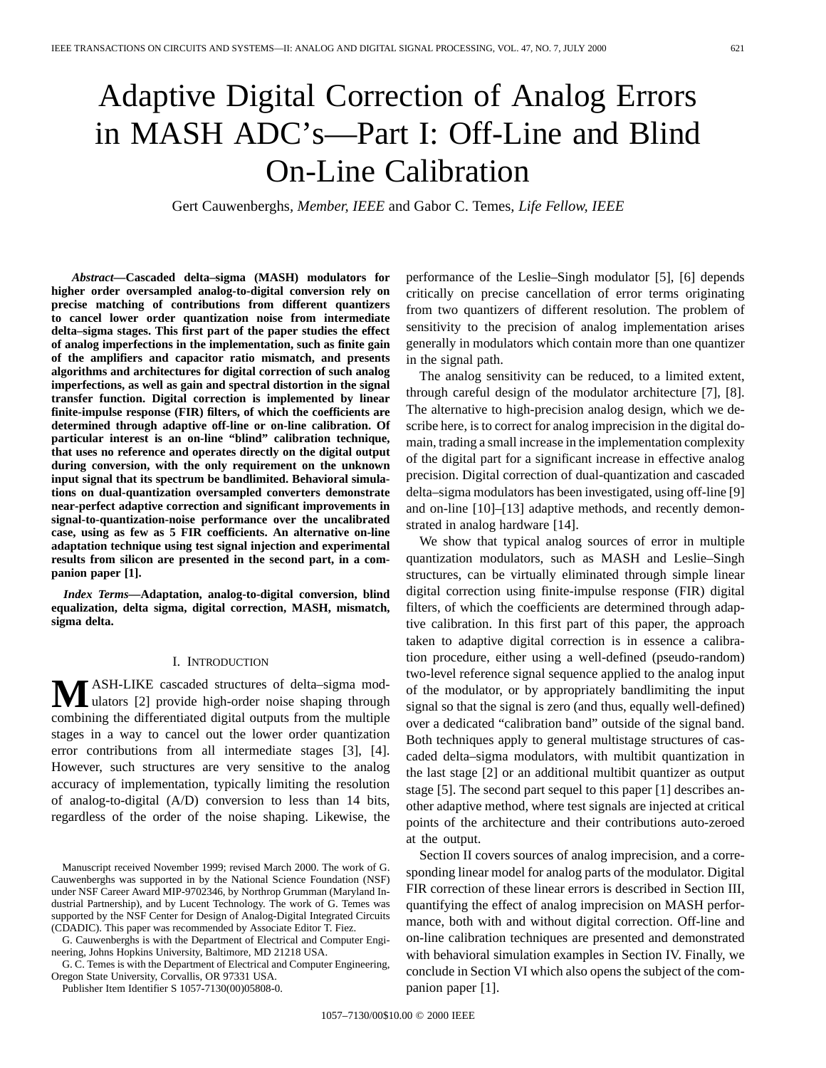# Adaptive Digital Correction of Analog Errors in MASH ADC's—Part I: Off-Line and Blind On-Line Calibration

Gert Cauwenberghs*, Member, IEEE* and Gabor C. Temes*, Life Fellow, IEEE*

*Abstract—***Cascaded delta–sigma (MASH) modulators for higher order oversampled analog-to-digital conversion rely on precise matching of contributions from different quantizers to cancel lower order quantization noise from intermediate delta–sigma stages. This first part of the paper studies the effect of analog imperfections in the implementation, such as finite gain of the amplifiers and capacitor ratio mismatch, and presents algorithms and architectures for digital correction of such analog imperfections, as well as gain and spectral distortion in the signal transfer function. Digital correction is implemented by linear finite-impulse response (FIR) filters, of which the coefficients are determined through adaptive off-line or on-line calibration. Of particular interest is an on-line "blind" calibration technique, that uses no reference and operates directly on the digital output during conversion, with the only requirement on the unknown input signal that its spectrum be bandlimited. Behavioral simulations on dual-quantization oversampled converters demonstrate near-perfect adaptive correction and significant improvements in signal-to-quantization-noise performance over the uncalibrated case, using as few as 5 FIR coefficients. An alternative on-line adaptation technique using test signal injection and experimental results from silicon are presented in the second part, in a companion paper [1].**

*Index Terms—***Adaptation, analog-to-digital conversion, blind equalization, delta sigma, digital correction, MASH, mismatch, sigma delta.**

#### I. INTRODUCTION

**M**ASH-LIKE cascaded structures of delta–sigma mod-<br>ulators [2] provide high-order noise shaping through combining the differentiated digital outputs from the multiple stages in a way to cancel out the lower order quantization error contributions from all intermediate stages [3], [4]. However, such structures are very sensitive to the analog accuracy of implementation, typically limiting the resolution of analog-to-digital (A/D) conversion to less than 14 bits, regardless of the order of the noise shaping. Likewise, the

G. Cauwenberghs is with the Department of Electrical and Computer Engineering, Johns Hopkins University, Baltimore, MD 21218 USA.

G. C. Temes is with the Department of Electrical and Computer Engineering, Oregon State University, Corvallis, OR 97331 USA.

Publisher Item Identifier S 1057-7130(00)05808-0.

performance of the Leslie–Singh modulator [5], [6] depends critically on precise cancellation of error terms originating from two quantizers of different resolution. The problem of sensitivity to the precision of analog implementation arises generally in modulators which contain more than one quantizer in the signal path.

The analog sensitivity can be reduced, to a limited extent, through careful design of the modulator architecture [7], [8]. The alternative to high-precision analog design, which we describe here, is to correct for analog imprecision in the digital domain, trading a small increase in the implementation complexity of the digital part for a significant increase in effective analog precision. Digital correction of dual-quantization and cascaded delta–sigma modulators has been investigated, using off-line [9] and on-line [10]–[13] adaptive methods, and recently demonstrated in analog hardware [14].

We show that typical analog sources of error in multiple quantization modulators, such as MASH and Leslie–Singh structures, can be virtually eliminated through simple linear digital correction using finite-impulse response (FIR) digital filters, of which the coefficients are determined through adaptive calibration. In this first part of this paper, the approach taken to adaptive digital correction is in essence a calibration procedure, either using a well-defined (pseudo-random) two-level reference signal sequence applied to the analog input of the modulator, or by appropriately bandlimiting the input signal so that the signal is zero (and thus, equally well-defined) over a dedicated "calibration band" outside of the signal band. Both techniques apply to general multistage structures of cascaded delta–sigma modulators, with multibit quantization in the last stage [2] or an additional multibit quantizer as output stage [5]. The second part sequel to this paper [1] describes another adaptive method, where test signals are injected at critical points of the architecture and their contributions auto-zeroed at the output.

Section II covers sources of analog imprecision, and a corresponding linear model for analog parts of the modulator. Digital FIR correction of these linear errors is described in Section III, quantifying the effect of analog imprecision on MASH performance, both with and without digital correction. Off-line and on-line calibration techniques are presented and demonstrated with behavioral simulation examples in Section IV. Finally, we conclude in Section VI which also opens the subject of the companion paper [1].

Manuscript received November 1999; revised March 2000. The work of G. Cauwenberghs was supported in by the National Science Foundation (NSF) under NSF Career Award MIP-9702346, by Northrop Grumman (Maryland Industrial Partnership), and by Lucent Technology. The work of G. Temes was supported by the NSF Center for Design of Analog-Digital Integrated Circuits (CDADIC). This paper was recommended by Associate Editor T. Fiez.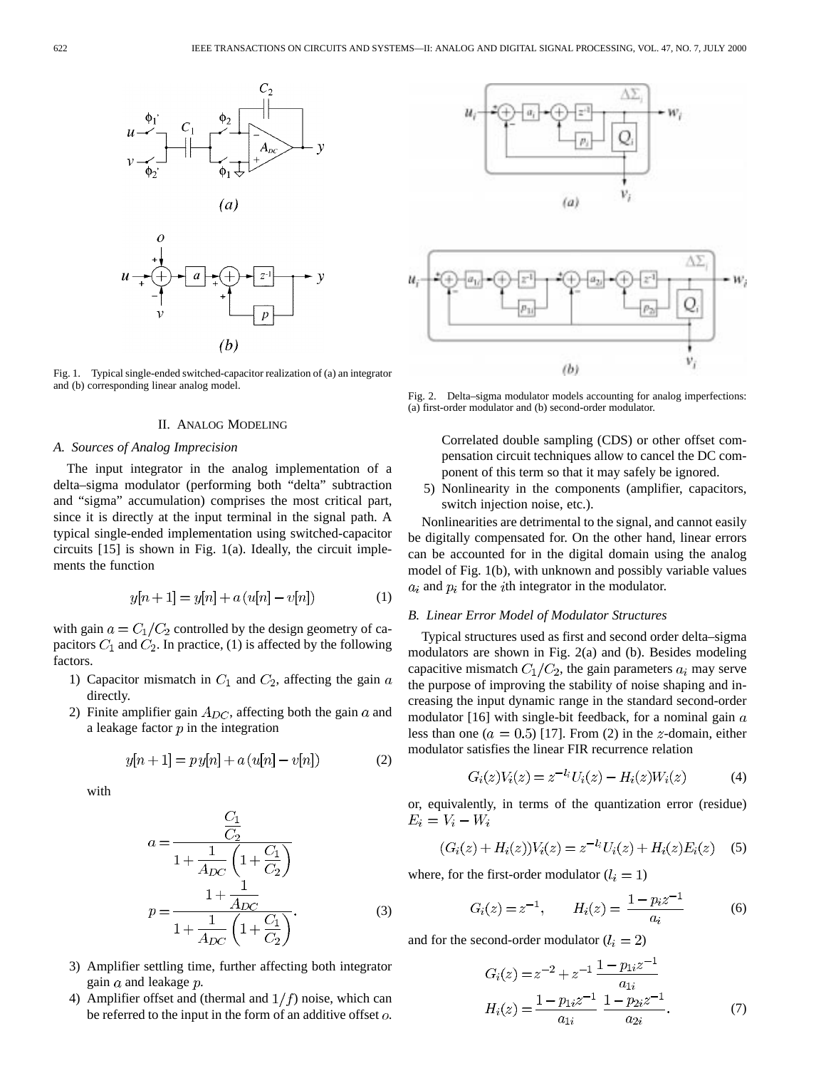

Fig. 1. Typical single-ended switched-capacitor realization of (a) an integrator and (b) corresponding linear analog model.

# II. ANALOG MODELING

#### *A. Sources of Analog Imprecision*

The input integrator in the analog implementation of a delta–sigma modulator (performing both "delta" subtraction and "sigma" accumulation) comprises the most critical part, since it is directly at the input terminal in the signal path. A typical single-ended implementation using switched-capacitor circuits [15] is shown in Fig. 1(a). Ideally, the circuit implements the function

$$
y[n+1] = y[n] + a(u[n] - v[n])
$$
 (1)

with gain  $a = C_1/C_2$  controlled by the design geometry of capacitors  $C_1$  and  $C_2$ . In practice, (1) is affected by the following factors.

- 1) Capacitor mismatch in  $C_1$  and  $C_2$ , affecting the gain  $a$ directly.
- 2) Finite amplifier gain  $A_{DC}$ , affecting both the gain a and a leakage factor  $p$  in the integration

$$
y[n+1] = p y[n] + a (u[n] - v[n])
$$
 (2)

with

$$
a = \frac{\frac{C_1}{C_2}}{1 + \frac{1}{A_{DC}} \left(1 + \frac{C_1}{C_2}\right)}
$$

$$
p = \frac{1 + \frac{1}{A_{DC}}}{1 + \frac{1}{A_{DC}} \left(1 + \frac{C_1}{C_2}\right)}.
$$
(3)

- 3) Amplifier settling time, further affecting both integrator gain  $a$  and leakage  $p$ .
- 4) Amplifier offset and (thermal and  $1/f$ ) noise, which can be referred to the input in the form of an additive offset  $o$ .



Fig. 2. Delta–sigma modulator models accounting for analog imperfections: (a) first-order modulator and (b) second-order modulator.

Correlated double sampling (CDS) or other offset compensation circuit techniques allow to cancel the DC component of this term so that it may safely be ignored.

5) Nonlinearity in the components (amplifier, capacitors, switch injection noise, etc.).

Nonlinearities are detrimental to the signal, and cannot easily be digitally compensated for. On the other hand, linear errors can be accounted for in the digital domain using the analog model of Fig. 1(b), with unknown and possibly variable values  $a_i$  and  $p_i$  for the *i*th integrator in the modulator.

# *B. Linear Error Model of Modulator Structures*

Typical structures used as first and second order delta–sigma modulators are shown in Fig. 2(a) and (b). Besides modeling capacitive mismatch  $C_1/C_2$ , the gain parameters  $a_i$  may serve the purpose of improving the stability of noise shaping and increasing the input dynamic range in the standard second-order modulator [16] with single-bit feedback, for a nominal gain  $a$ less than one ( $a = 0.5$ ) [17]. From (2) in the *z*-domain, either modulator satisfies the linear FIR recurrence relation

$$
G_i(z)V_i(z) = z^{-l_i}U_i(z) - H_i(z)W_i(z)
$$
 (4)

or, equivalently, in terms of the quantization error (residue)  $E_i = V_i - W_i$ 

$$
(G_i(z) + H_i(z))V_i(z) = z^{-l_i}U_i(z) + H_i(z)E_i(z)
$$
 (5)

where, for the first-order modulator  $(l_i = 1)$ 

$$
G_i(z) = z^{-1}, \qquad H_i(z) = \frac{1 - p_i z^{-1}}{a_i} \tag{6}
$$

and for the second-order modulator  $(l_i = 2)$ 

$$
G_i(z) = z^{-2} + z^{-1} \frac{1 - p_{1i}z^{-1}}{a_{1i}}
$$
  
\n
$$
H_i(z) = \frac{1 - p_{1i}z^{-1}}{a_{1i}} \frac{1 - p_{2i}z^{-1}}{a_{2i}}.
$$
 (7)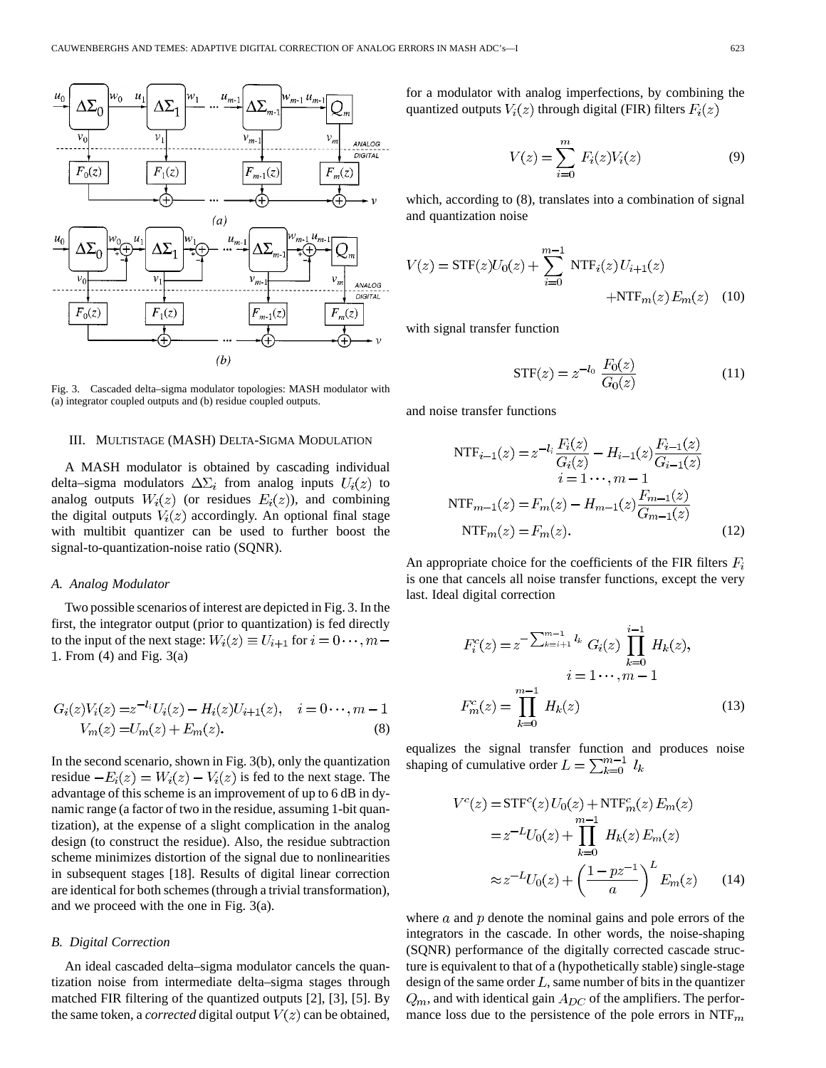

Fig. 3. Cascaded delta–sigma modulator topologies: MASH modulator with (a) integrator coupled outputs and (b) residue coupled outputs.

#### III. MULTISTAGE (MASH) DELTA-SIGMA MODULATION

A MASH modulator is obtained by cascading individual delta–sigma modulators  $\Delta \Sigma_i$  from analog inputs  $U_i(z)$  to analog outputs  $W_i(z)$  (or residues  $E_i(z)$ ), and combining the digital outputs  $V_i(z)$  accordingly. An optional final stage with multibit quantizer can be used to further boost the signal-to-quantization-noise ratio (SQNR).

# *A. Analog Modulator*

Two possible scenarios of interest are depicted in Fig. 3. In the first, the integrator output (prior to quantization) is fed directly to the input of the next stage:  $W_i(z) \equiv U_{i+1}$  for  $i = 0 \cdots, m-1$ . From (4) and Fig. 3(a)

$$
G_i(z)V_i(z) = z^{-l_i}U_i(z) - H_i(z)U_{i+1}(z), \quad i = 0 \cdots, m-1
$$
  

$$
V_m(z) = U_m(z) + E_m(z).
$$
 (8)

In the second scenario, shown in Fig. 3(b), only the quantization residue  $-E_i(z) = W_i(z) - V_i(z)$  is fed to the next stage. The advantage of this scheme is an improvement of up to 6 dB in dynamic range (a factor of two in the residue, assuming 1-bit quantization), at the expense of a slight complication in the analog design (to construct the residue). Also, the residue subtraction scheme minimizes distortion of the signal due to nonlinearities in subsequent stages [18]. Results of digital linear correction are identical for both schemes (through a trivial transformation), and we proceed with the one in Fig. 3(a).

#### *B. Digital Correction*

An ideal cascaded delta–sigma modulator cancels the quantization noise from intermediate delta–sigma stages through matched FIR filtering of the quantized outputs [2], [3], [5]. By the same token, a *corrected* digital output  $V(z)$  can be obtained, for a modulator with analog imperfections, by combining the quantized outputs  $V_i(z)$  through digital (FIR) filters  $F_i(z)$ 

$$
V(z) = \sum_{i=0}^{m} F_i(z)V_i(z)
$$
 (9)

which, according to (8), translates into a combination of signal and quantization noise

$$
V(z) = STF(z)U_0(z) + \sum_{i=0}^{m-1} NTF_i(z) U_{i+1}(z)
$$
  
+
$$
NTF_m(z) E_m(z)
$$
 (10)

with signal transfer function

$$
STF(z) = z^{-l_0} \frac{F_0(z)}{G_0(z)}
$$
 (11)

and noise transfer functions

$$
NTF_{i-1}(z) = z^{-l_i} \frac{F_i(z)}{G_i(z)} - H_{i-1}(z) \frac{F_{i-1}(z)}{G_{i-1}(z)}
$$
  
\n
$$
i = 1 \cdots, m - 1
$$
  
\n
$$
NTF_{m-1}(z) = F_m(z) - H_{m-1}(z) \frac{F_{m-1}(z)}{G_{m-1}(z)}
$$
  
\n
$$
NTF_m(z) = F_m(z). \tag{12}
$$

An appropriate choice for the coefficients of the FIR filters  $F_i$ is one that cancels all noise transfer functions, except the very last. Ideal digital correction

$$
F_i^c(z) = z^{-\sum_{k=i+1}^{m-1} l_k} G_i(z) \prod_{k=0}^{i-1} H_k(z),
$$
  
\n
$$
i = 1 \cdots, m-1
$$
  
\n
$$
F_m^c(z) = \prod_{k=0}^{m-1} H_k(z)
$$
\n(13)

equalizes the signal transfer function and produces noise shaping of cumulative order  $L = \sum_{k=0}^{m-1} l_k$ 

$$
V^{c}(z) = \text{STF}^{c}(z) U_{0}(z) + \text{NTF}^{c}_{m}(z) E_{m}(z)
$$

$$
= z^{-L} U_{0}(z) + \prod_{k=0}^{m-1} H_{k}(z) E_{m}(z)
$$

$$
\approx z^{-L} U_{0}(z) + \left(\frac{1 - pz^{-1}}{a}\right)^{L} E_{m}(z) \qquad (14)
$$

where  $\alpha$  and  $p$  denote the nominal gains and pole errors of the integrators in the cascade. In other words, the noise-shaping (SQNR) performance of the digitally corrected cascade structure is equivalent to that of a (hypothetically stable) single-stage design of the same order  $L$ , same number of bits in the quantizer  $Q_m$ , and with identical gain  $A_{DC}$  of the amplifiers. The performance loss due to the persistence of the pole errors in  $\text{NTF}_m$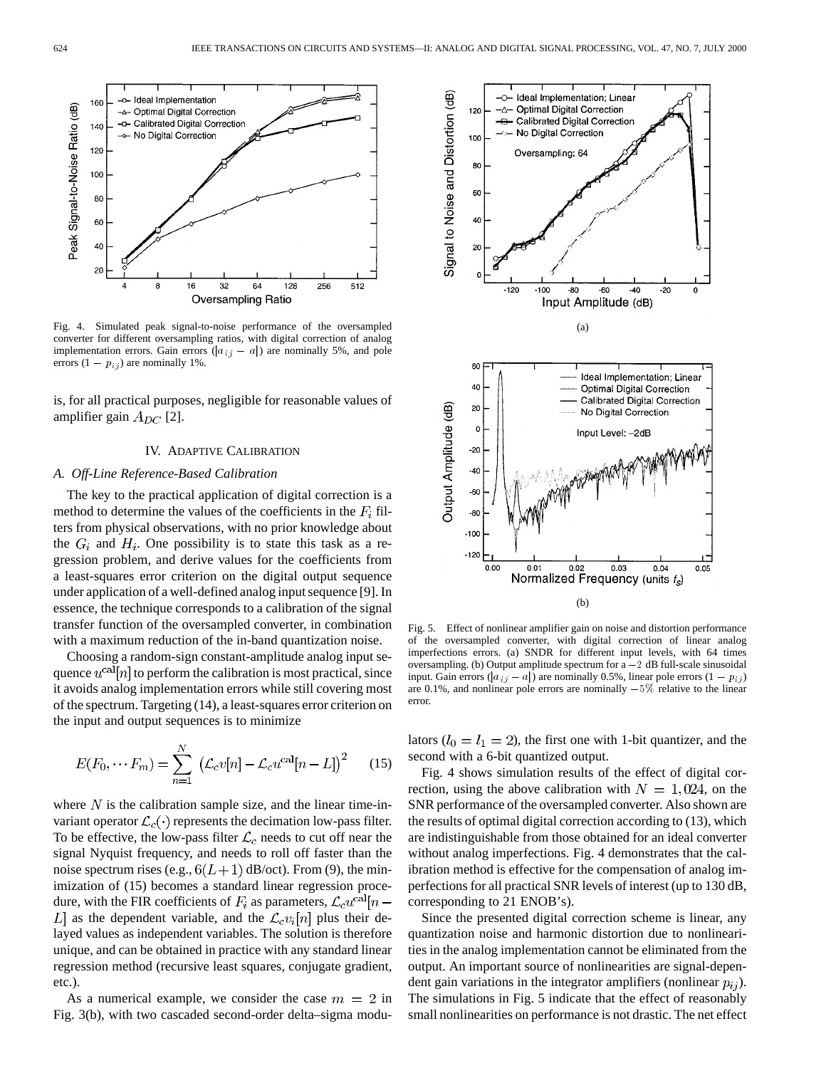

Fig. 4. Simulated peak signal-to-noise performance of the oversampled converter for different oversampling ratios, with digital correction of analog implementation errors. Gain errors ( $|a_{ij} - a|$ ) are nominally 5%, and pole errors  $(1 - p_{i,j})$  are nominally 1%.

is, for all practical purposes, negligible for reasonable values of amplifier gain  $A_{DC}$  [2].

#### IV. ADAPTIVE CALIBRATION

# *A. Off-Line Reference-Based Calibration*

The key to the practical application of digital correction is a method to determine the values of the coefficients in the  $F_i$  filters from physical observations, with no prior knowledge about the  $G_i$  and  $H_i$ . One possibility is to state this task as a regression problem, and derive values for the coefficients from a least-squares error criterion on the digital output sequence under application of a well-defined analog input sequence [9]. In essence, the technique corresponds to a calibration of the signal transfer function of the oversampled converter, in combination with a maximum reduction of the in-band quantization noise.

Choosing a random-sign constant-amplitude analog input sequence  $u^{\text{cal}}[n]$  to perform the calibration is most practical, since it avoids analog implementation errors while still covering most of the spectrum. Targeting (14), a least-squares error criterion on the input and output sequences is to minimize

$$
E(F_0, \cdots F_m) = \sum_{n=1}^{N} \left( \mathcal{L}_c v[n] - \mathcal{L}_c u^{\text{cal}}[n-L] \right)^2 \tag{15}
$$

where  $N$  is the calibration sample size, and the linear time-invariant operator  $\mathcal{L}_c(\cdot)$  represents the decimation low-pass filter. To be effective, the low-pass filter  $\mathcal{L}_c$  needs to cut off near the signal Nyquist frequency, and needs to roll off faster than the noise spectrum rises (e.g.,  $6(L+1)$  dB/oct). From (9), the minimization of  $(15)$  becomes a standard linear regression procedure, with the FIR coefficients of  $F_i$  as parameters,  $\mathcal{L}_c u^{\text{cal}}[n-$ L] as the dependent variable, and the  $\mathcal{L}_c v_i[n]$  plus their delayed values as independent variables. The solution is therefore unique, and can be obtained in practice with any standard linear regression method (recursive least squares, conjugate gradient, etc.).

As a numerical example, we consider the case  $m = 2$  in Fig. 3(b), with two cascaded second-order delta–sigma modu-



Fig. 5. Effect of nonlinear amplifier gain on noise and distortion performance of the oversampled converter, with digital correction of linear analog imperfections errors. (a) SNDR for different input levels, with 64 times oversampling. (b) Output amplitude spectrum for  $a - 2$  dB full-scale sinusoidal input. Gain errors ( $|a_{ij} - a|$ ) are nominally 0.5%, linear pole errors (1 -  $p_{ij}$ ) are 0.1%, and nonlinear pole errors are nominally  $-5\%$  relative to the linear error.

lators ( $l_0 = l_1 = 2$ ), the first one with 1-bit quantizer, and the second with a 6-bit quantized output.

Fig. 4 shows simulation results of the effect of digital correction, using the above calibration with  $N = 1,024$ , on the SNR performance of the oversampled converter. Also shown are the results of optimal digital correction according to (13), which are indistinguishable from those obtained for an ideal converter without analog imperfections. Fig. 4 demonstrates that the calibration method is effective for the compensation of analog imperfections for all practical SNR levels of interest (up to 130 dB, corresponding to 21 ENOB's).

Since the presented digital correction scheme is linear, any quantization noise and harmonic distortion due to nonlinearities in the analog implementation cannot be eliminated from the output. An important source of nonlinearities are signal-dependent gain variations in the integrator amplifiers (nonlinear  $p_{ij}$ ). The simulations in Fig. 5 indicate that the effect of reasonably small nonlinearities on performance is not drastic. The net effect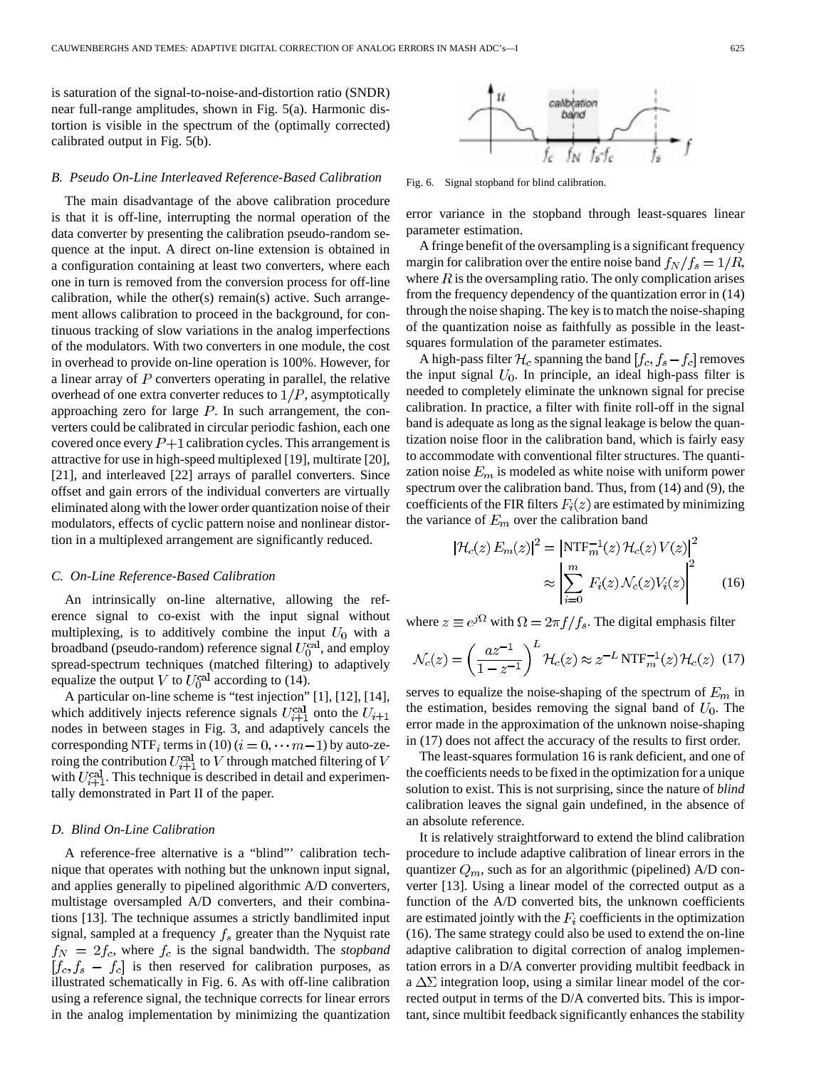is saturation of the signal-to-noise-and-distortion ratio (SNDR) near full-range amplitudes, shown in Fig. 5(a). Harmonic distortion is visible in the spectrum of the (optimally corrected) calibrated output in Fig. 5(b).

# *B. Pseudo On-Line Interleaved Reference-Based Calibration*

The main disadvantage of the above calibration procedure is that it is off-line, interrupting the normal operation of the data converter by presenting the calibration pseudo-random sequence at the input. A direct on-line extension is obtained in a configuration containing at least two converters, where each one in turn is removed from the conversion process for off-line calibration, while the other(s) remain(s) active. Such arrangement allows calibration to proceed in the background, for continuous tracking of slow variations in the analog imperfections of the modulators. With two converters in one module, the cost in overhead to provide on-line operation is 100%. However, for a linear array of  $P$  converters operating in parallel, the relative overhead of one extra converter reduces to  $1/P$ , asymptotically approaching zero for large  $P$ . In such arrangement, the converters could be calibrated in circular periodic fashion, each one covered once every  $P+1$  calibration cycles. This arrangement is attractive for use in high-speed multiplexed [19], multirate [20], [21], and interleaved [22] arrays of parallel converters. Since offset and gain errors of the individual converters are virtually eliminated along with the lower order quantization noise of their modulators, effects of cyclic pattern noise and nonlinear distortion in a multiplexed arrangement are significantly reduced.

# *C. On-Line Reference-Based Calibration*

An intrinsically on-line alternative, allowing the reference signal to co-exist with the input signal without multiplexing, is to additively combine the input  $U_0$  with a broadband (pseudo-random) reference signal  $U_0^{\text{cal}}$ , and employ spread-spectrum techniques (matched filtering) to adaptively equalize the output V to  $U_0^{\text{cal}}$  according to (14).

A particular on-line scheme is "test injection" [1], [12], [14], which additively injects reference signals  $U_{i+1}^{\text{cal}}$  onto the  $U_{i+1}$ nodes in between stages in Fig. 3, and adaptively cancels the corresponding NTF<sub>i</sub> terms in (10) ( $i = 0, \dots m-1$ ) by auto-zeroing the contribution  $U_{i+1}^{\text{cal}}$  to V through matched filtering of V with  $U_{i+1}^{\text{cal}}$ . This technique is described in detail and experimentally demonstrated in Part II of the paper.

# *D. Blind On-Line Calibration*

A reference-free alternative is a "blind"' calibration technique that operates with nothing but the unknown input signal, and applies generally to pipelined algorithmic A/D converters, multistage oversampled A/D converters, and their combinations [13]. The technique assumes a strictly bandlimited input signal, sampled at a frequency  $f_s$  greater than the Nyquist rate  $f_N = 2f_c$ , where  $f_c$  is the signal bandwidth. The *stopband*  $[f_c, f_s - f_c]$  is then reserved for calibration purposes, as illustrated schematically in Fig. 6. As with off-line calibration using a reference signal, the technique corrects for linear errors in the analog implementation by minimizing the quantization



Fig. 6. Signal stopband for blind calibration.

error variance in the stopband through least-squares linear parameter estimation.

A fringe benefit of the oversampling is a significant frequency margin for calibration over the entire noise band  $f_N/f_s = 1/R$ , where  $R$  is the oversampling ratio. The only complication arises from the frequency dependency of the quantization error in (14) through the noise shaping. The key is to match the noise-shaping of the quantization noise as faithfully as possible in the leastsquares formulation of the parameter estimates.

A high-pass filter  $\mathcal{H}_c$  spanning the band  $[f_c, f_s - f_c]$  removes the input signal  $U_0$ . In principle, an ideal high-pass filter is needed to completely eliminate the unknown signal for precise calibration. In practice, a filter with finite roll-off in the signal band is adequate as long as the signal leakage is below the quantization noise floor in the calibration band, which is fairly easy to accommodate with conventional filter structures. The quantization noise  $E_m$  is modeled as white noise with uniform power spectrum over the calibration band. Thus, from (14) and (9), the coefficients of the FIR filters  $F_i(z)$  are estimated by minimizing the variance of  $E_m$  over the calibration band

$$
|\mathcal{H}_c(z)E_m(z)|^2 = \left|\text{NTF}_m^{-1}(z)\,\mathcal{H}_c(z)\,V(z)\right|^2
$$

$$
\approx \left|\sum_{i=0}^m F_i(z)\,\mathcal{N}_c(z)V_i(z)\right|^2 \tag{16}
$$

where  $z \equiv e^{i\Omega}$  with  $\Omega = 2\pi f/f_s$ . The digital emphasis filter

$$
\mathcal{N}_c(z) = \left(\frac{az^{-1}}{1-z^{-1}}\right)^L \mathcal{H}_c(z) \approx z^{-L} \operatorname{NTF}_{m}^{-1}(z) \mathcal{H}_c(z) \tag{17}
$$

serves to equalize the noise-shaping of the spectrum of  $E_m$  in the estimation, besides removing the signal band of  $U_0$ . The error made in the approximation of the unknown noise-shaping in (17) does not affect the accuracy of the results to first order.

The least-squares formulation 16 is rank deficient, and one of the coefficients needs to be fixed in the optimization for a unique solution to exist. This is not surprising, since the nature of *blind* calibration leaves the signal gain undefined, in the absence of an absolute reference.

It is relatively straightforward to extend the blind calibration procedure to include adaptive calibration of linear errors in the quantizer  $Q_m$ , such as for an algorithmic (pipelined) A/D converter [13]. Using a linear model of the corrected output as a function of the A/D converted bits, the unknown coefficients are estimated jointly with the  $F_i$  coefficients in the optimization (16). The same strategy could also be used to extend the on-line adaptive calibration to digital correction of analog implementation errors in a D/A converter providing multibit feedback in a  $\Delta\Sigma$  integration loop, using a similar linear model of the corrected output in terms of the D/A converted bits. This is important, since multibit feedback significantly enhances the stability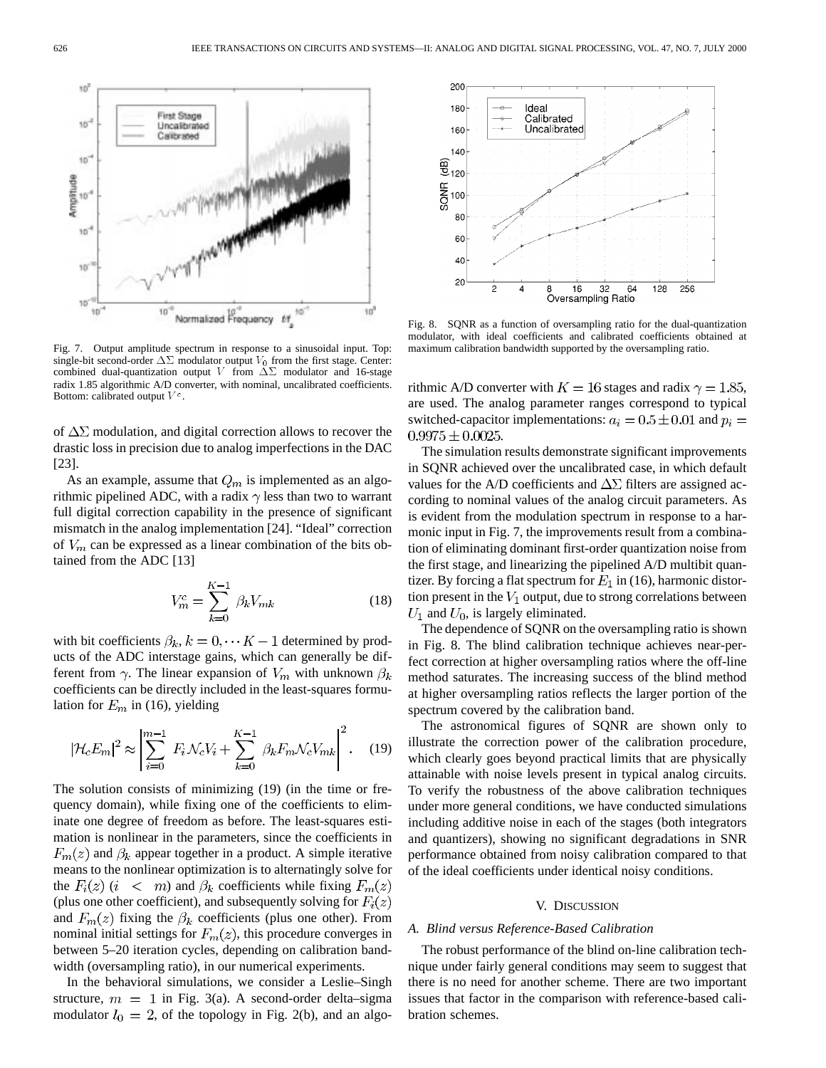Fig. 7. Output amplitude spectrum in response to a sinusoidal input. Top: single-bit second-order  $\Delta\Sigma$  modulator output  $V_0$  from the first stage. Center: combined dual-quantization output V from  $\Delta \Sigma$  modulator and 16-stage radix 1.85 algorithmic A/D converter, with nominal, uncalibrated coefficients. Bottom: calibrated output  $V^c$ .

Normalized Frequency ff

First Stage

Calibrated

10

Uncalibrated

of  $\Delta\Sigma$  modulation, and digital correction allows to recover the drastic loss in precision due to analog imperfections in the DAC [23].

As an example, assume that  $Q_m$  is implemented as an algorithmic pipelined ADC, with a radix  $\gamma$  less than two to warrant full digital correction capability in the presence of significant mismatch in the analog implementation [24]. "Ideal" correction of  $V_m$  can be expressed as a linear combination of the bits obtained from the ADC [13]

$$
V_m^c = \sum_{k=0}^{K-1} \beta_k V_{mk}
$$
 (18)

١ö

with bit coefficients  $\beta_k$ ,  $k = 0, \dots K-1$  determined by products of the ADC interstage gains, which can generally be different from  $\gamma$ . The linear expansion of  $V_m$  with unknown  $\beta_k$ coefficients can be directly included in the least-squares formulation for  $E_m$  in (16), yielding

$$
|\mathcal{H}_c E_m|^2 \approx \left| \sum_{i=0}^{m-1} F_i \mathcal{N}_c V_i + \sum_{k=0}^{K-1} \beta_k F_m \mathcal{N}_c V_{mk} \right|^2.
$$
 (19)

The solution consists of minimizing (19) (in the time or frequency domain), while fixing one of the coefficients to eliminate one degree of freedom as before. The least-squares estimation is nonlinear in the parameters, since the coefficients in  $F_m(z)$  and  $\beta_k$  appear together in a product. A simple iterative means to the nonlinear optimization is to alternatingly solve for the  $F_i(z)$   $(i \lt m)$  and  $\beta_k$  coefficients while fixing  $F_m(z)$ (plus one other coefficient), and subsequently solving for  $F_i(z)$ and  $F_m(z)$  fixing the  $\beta_k$  coefficients (plus one other). From nominal initial settings for  $F_m(z)$ , this procedure converges in between 5–20 iteration cycles, depending on calibration bandwidth (oversampling ratio), in our numerical experiments.

In the behavioral simulations, we consider a Leslie–Singh structure,  $m = 1$  in Fig. 3(a). A second-order delta–sigma modulator  $l_0 = 2$ , of the topology in Fig. 2(b), and an algo-



Fig. 8. SQNR as a function of oversampling ratio for the dual-quantization modulator, with ideal coefficients and calibrated coefficients obtained at maximum calibration bandwidth supported by the oversampling ratio.

rithmic A/D converter with  $K = 16$  stages and radix  $\gamma = 1.85$ , are used. The analog parameter ranges correspond to typical switched-capacitor implementations:  $a_i = 0.5 \pm 0.01$  and  $p_i =$  $0.9975 \pm 0.0025.$ 

The simulation results demonstrate significant improvements in SQNR achieved over the uncalibrated case, in which default values for the A/D coefficients and  $\Delta\Sigma$  filters are assigned according to nominal values of the analog circuit parameters. As is evident from the modulation spectrum in response to a harmonic input in Fig. 7, the improvements result from a combination of eliminating dominant first-order quantization noise from the first stage, and linearizing the pipelined A/D multibit quantizer. By forcing a flat spectrum for  $E_1$  in (16), harmonic distortion present in the  $V_1$  output, due to strong correlations between  $U_1$  and  $U_0$ , is largely eliminated.

The dependence of SQNR on the oversampling ratio is shown in Fig. 8. The blind calibration technique achieves near-perfect correction at higher oversampling ratios where the off-line method saturates. The increasing success of the blind method at higher oversampling ratios reflects the larger portion of the spectrum covered by the calibration band.

The astronomical figures of SQNR are shown only to illustrate the correction power of the calibration procedure, which clearly goes beyond practical limits that are physically attainable with noise levels present in typical analog circuits. To verify the robustness of the above calibration techniques under more general conditions, we have conducted simulations including additive noise in each of the stages (both integrators and quantizers), showing no significant degradations in SNR performance obtained from noisy calibration compared to that of the ideal coefficients under identical noisy conditions.

#### V. DISCUSSION

#### *A. Blind versus Reference-Based Calibration*

The robust performance of the blind on-line calibration technique under fairly general conditions may seem to suggest that there is no need for another scheme. There are two important issues that factor in the comparison with reference-based calibration schemes.

10

10

10

 $10^{\circ}$ 

10

10

10  $3D$ 

Amplitude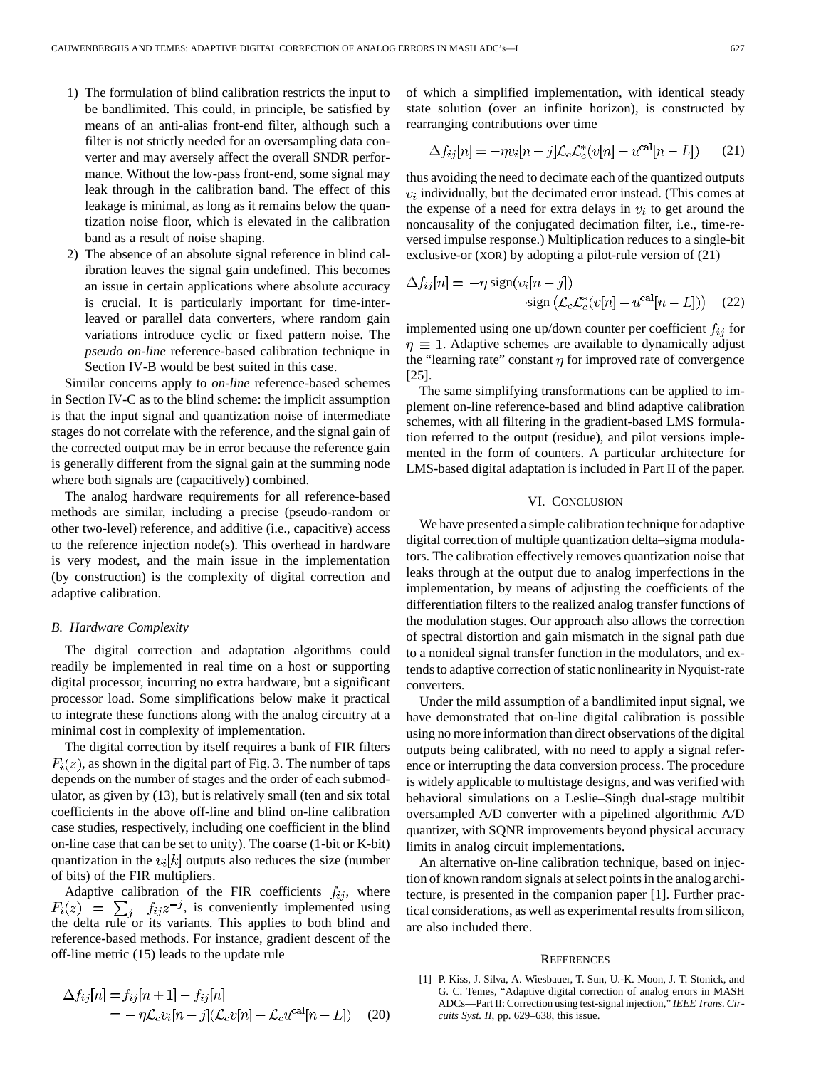- 1) The formulation of blind calibration restricts the input to be bandlimited. This could, in principle, be satisfied by means of an anti-alias front-end filter, although such a filter is not strictly needed for an oversampling data converter and may aversely affect the overall SNDR performance. Without the low-pass front-end, some signal may leak through in the calibration band. The effect of this leakage is minimal, as long as it remains below the quantization noise floor, which is elevated in the calibration band as a result of noise shaping.
- 2) The absence of an absolute signal reference in blind calibration leaves the signal gain undefined. This becomes an issue in certain applications where absolute accuracy is crucial. It is particularly important for time-interleaved or parallel data converters, where random gain variations introduce cyclic or fixed pattern noise. The *pseudo on-line* reference-based calibration technique in Section IV-B would be best suited in this case.

Similar concerns apply to *on-line* reference-based schemes in Section IV-C as to the blind scheme: the implicit assumption is that the input signal and quantization noise of intermediate stages do not correlate with the reference, and the signal gain of the corrected output may be in error because the reference gain is generally different from the signal gain at the summing node where both signals are (capacitively) combined.

The analog hardware requirements for all reference-based methods are similar, including a precise (pseudo-random or other two-level) reference, and additive (i.e., capacitive) access to the reference injection node(s). This overhead in hardware is very modest, and the main issue in the implementation (by construction) is the complexity of digital correction and adaptive calibration.

#### *B. Hardware Complexity*

The digital correction and adaptation algorithms could readily be implemented in real time on a host or supporting digital processor, incurring no extra hardware, but a significant processor load. Some simplifications below make it practical to integrate these functions along with the analog circuitry at a minimal cost in complexity of implementation.

The digital correction by itself requires a bank of FIR filters  $F_i(z)$ , as shown in the digital part of Fig. 3. The number of taps depends on the number of stages and the order of each submodulator, as given by (13), but is relatively small (ten and six total coefficients in the above off-line and blind on-line calibration case studies, respectively, including one coefficient in the blind on-line case that can be set to unity). The coarse (1-bit or K-bit) quantization in the  $v_i[k]$  outputs also reduces the size (number of bits) of the FIR multipliers.

Adaptive calibration of the FIR coefficients  $f_{ij}$ , where , is conveniently implemented using the delta rule or its variants. This applies to both blind and reference-based methods. For instance, gradient descent of the off-line metric (15) leads to the update rule

$$
\Delta f_{ij}[n] = f_{ij}[n+1] - f_{ij}[n]
$$
  
= 
$$
-\eta \mathcal{L}_c v_i[n-j](\mathcal{L}_c v[n] - \mathcal{L}_c u^{\text{cal}}[n-L])
$$
 (20)

of which a simplified implementation, with identical steady state solution (over an infinite horizon), is constructed by rearranging contributions over time

$$
\Delta f_{ij}[n] = -\eta v_i[n-j]\mathcal{L}_c \mathcal{L}_c^*(v[n] - u^{\text{cal}}[n-L]) \qquad (21)
$$

thus avoiding the need to decimate each of the quantized outputs  $v_i$  individually, but the decimated error instead. (This comes at the expense of a need for extra delays in  $v_i$  to get around the noncausality of the conjugated decimation filter, i.e., time-reversed impulse response.) Multiplication reduces to a single-bit exclusive-or (XOR) by adopting a pilot-rule version of (21)

$$
\Delta f_{ij}[n] = -\eta \operatorname{sign}(v_i[n-j])
$$
  
 
$$
\operatorname{sign}(\mathcal{L}_c \mathcal{L}_c^*(v[n] - u^{\text{cal}}[n-L])) \quad (22)
$$

implemented using one up/down counter per coefficient  $f_{ij}$  for  $\eta \equiv 1$ . Adaptive schemes are available to dynamically adjust the "learning rate" constant  $\eta$  for improved rate of convergence [25].

The same simplifying transformations can be applied to implement on-line reference-based and blind adaptive calibration schemes, with all filtering in the gradient-based LMS formulation referred to the output (residue), and pilot versions implemented in the form of counters. A particular architecture for LMS-based digital adaptation is included in Part II of the paper.

#### VI. CONCLUSION

We have presented a simple calibration technique for adaptive digital correction of multiple quantization delta–sigma modulators. The calibration effectively removes quantization noise that leaks through at the output due to analog imperfections in the implementation, by means of adjusting the coefficients of the differentiation filters to the realized analog transfer functions of the modulation stages. Our approach also allows the correction of spectral distortion and gain mismatch in the signal path due to a nonideal signal transfer function in the modulators, and extends to adaptive correction of static nonlinearity in Nyquist-rate converters.

Under the mild assumption of a bandlimited input signal, we have demonstrated that on-line digital calibration is possible using no more information than direct observations of the digital outputs being calibrated, with no need to apply a signal reference or interrupting the data conversion process. The procedure is widely applicable to multistage designs, and was verified with behavioral simulations on a Leslie–Singh dual-stage multibit oversampled A/D converter with a pipelined algorithmic A/D quantizer, with SQNR improvements beyond physical accuracy limits in analog circuit implementations.

An alternative on-line calibration technique, based on injection of known random signals at select points in the analog architecture, is presented in the companion paper [1]. Further practical considerations, as well as experimental results from silicon, are also included there.

#### **REFERENCES**

[1] P. Kiss, J. Silva, A. Wiesbauer, T. Sun, U.-K. Moon, J. T. Stonick, and G. C. Temes, "Adaptive digital correction of analog errors in MASH ADCs—Part II: Correction using test-signal injection," *IEEE Trans. Circuits Syst. II*, pp. 629–638, this issue.